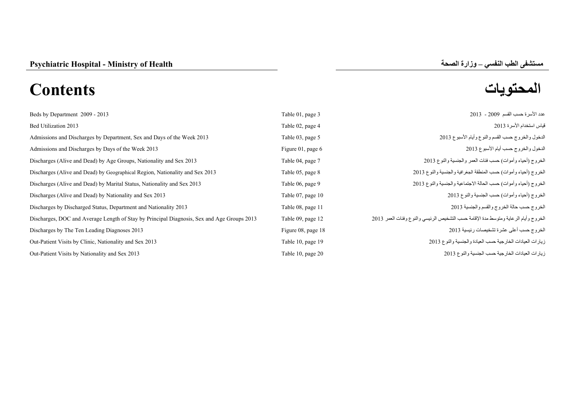# **المحتويات Contents**

| Beds by Department 2009 - 2013                                                             | Table 01, page 3   | عدد الأسر ة حسب القسم 2009 - 2013                                                   |
|--------------------------------------------------------------------------------------------|--------------------|-------------------------------------------------------------------------------------|
| Bed Utilization 2013                                                                       | Table 02, page 4   | قياس استخدام الأسرة 2013                                                            |
| Admissions and Discharges by Department, Sex and Days of the Week 2013                     | Table 03, page 5   | الدخول والخروج حسب القسم والنوع وأيام الأسبوع 2013                                  |
| Admissions and Discharges by Days of the Week 2013                                         | Figure 01, page 6  | الدخول والخروج حسب أيام الأسبوع 2013                                                |
| Discharges (Alive and Dead) by Age Groups, Nationality and Sex 2013                        | Table 04, page 7   | الخروج (أحياء وأموات) حسب فئات العمر والجنسية والنوع 2013                           |
| Discharges (Alive and Dead) by Geographical Region, Nationality and Sex 2013               | Table 05, page 8   | الخروج (أحياء وأموات) حسب المنطقة الجغرافية والجنسية والنوع 2013                    |
| Discharges (Alive and Dead) by Marital Status, Nationality and Sex 2013                    | Table 06, page 9   | الخروج (أحياء وأموات) حسب الحالة الاجتماعية والجنسية والنوع 2013                    |
| Discharges (Alive and Dead) by Nationality and Sex 2013                                    | Table 07, page 10  | الخروج (أحياء وأموات) حسب الجنسية والنوع 2013                                       |
| Discharges by Discharged Status, Department and Nationality 2013                           | Table 08, page 11  | الخروج حسب حالة الخروج والقسم والجنسية 2013                                         |
| Discharges, DOC and Average Length of Stay by Principal Diagnosis, Sex and Age Groups 2013 | Table 09, page 12  | الخروج وأيام الرعاية ومتوسط مدة الإقامة حسب التشخيص الرئيسي والنوع وفئات العمر 2013 |
| Discharges by The Ten Leading Diagnoses 2013                                               | Figure 08, page 18 | الخروج حسب أعلى عشرة تشخيصات رئيسية 2013                                            |
| Out-Patient Visits by Clinic, Nationality and Sex 2013                                     | Table 10, page 19  | زيارات العيادات الخارجية حسب العيادة والجنسية والنوع 2013                           |
| Out-Patient Visits by Nationality and Sex 2013                                             | Table 10, page 20  | زيارات العيادات الخارجية حسب الجنسية والنوع 2013                                    |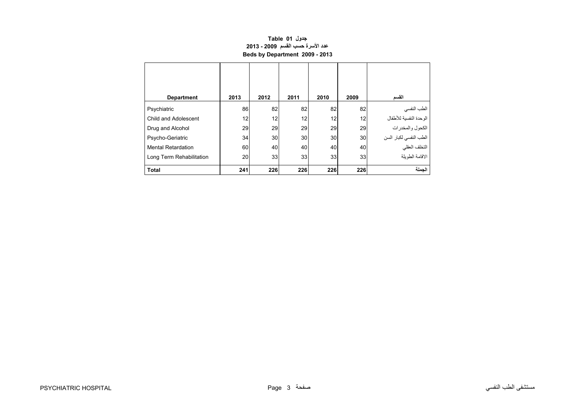# **جدول 01 Table عدد األسرة حسب القسم 2009 - 2013 Beds by Department 2009 - 2013**

<span id="page-1-0"></span>

| <b>Department</b>         | 2013            | 2012            | 2011 | 2010 | 2009 | القسم                  |
|---------------------------|-----------------|-----------------|------|------|------|------------------------|
| Psychiatric               | 86              | 82              | 82   | 82   | 82   | الطب النفسي            |
| Child and Adolescent      | 12 <sub>1</sub> | 12 <sub>1</sub> | 12   | 12   | 12   | الوحدة النفسية للأطفال |
| Drug and Alcohol          | 29              | 29              | 29   | 29   | 29   | ر<br>الكحول والمخدرات  |
| Psycho-Geriatric          | 34              | 30              | 30   | 30   | 30   | الطب النفسي لكبار السن |
| <b>Mental Retardation</b> | 60              | 40              | 40   | 40   | 40   | التخلف العقلي          |
| Long Term Rehabilitation  | 20              | 33              | 33   | 33   | 33   | الاقامة الطويلة        |
| <b>Total</b>              | 241             | 226             | 226  | 226  | 226  | الحملة                 |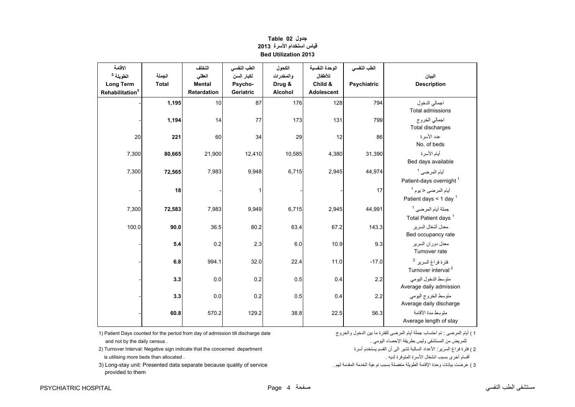<span id="page-2-0"></span>

| الاقامة<br>الطويلة <sup>3</sup><br><b>Long Term</b><br>Rehabilitation <sup>3</sup> | الجملة<br><b>Total</b> | التخلف<br>العقلى<br><b>Mental</b><br><b>Retardation</b> | الطب النفسي<br>لكبار السن<br>Psycho-<br>Geriatric | الكحول<br>والمخدرات<br>Drug &<br>Alcohol | الوحدة النفسية<br>للأطفال<br>Child &<br><b>Adolescent</b> | الطب النفسي<br>Psychiatric | البيان<br><b>Description</b>                                     |
|------------------------------------------------------------------------------------|------------------------|---------------------------------------------------------|---------------------------------------------------|------------------------------------------|-----------------------------------------------------------|----------------------------|------------------------------------------------------------------|
|                                                                                    | 1,195                  | 10                                                      | 87                                                | 176                                      | 128                                                       | 794                        | اجمالي الدخول<br><b>Total admissions</b>                         |
|                                                                                    | 1,194                  | 14                                                      | 77                                                | 173                                      | 131                                                       | 799                        | اجمالي الخروج<br>Total discharges                                |
| 20                                                                                 | 221                    | 60                                                      | 34                                                | 29                                       | 12                                                        | 86                         | عدد الأسر ة<br>No. of beds                                       |
| 7,300                                                                              | 80,665                 | 21,900                                                  | 12,410                                            | 10,585                                   | 4,380                                                     | 31,390                     | أيام الأسرة<br>Bed days available                                |
| 7,300                                                                              | 72,565                 | 7,983                                                   | 9,948                                             | 6,715                                    | 2,945                                                     | 44,974                     | أيام المرضى <sup>1</sup><br>Patient-days overnight <sup>1</sup>  |
|                                                                                    | 18                     |                                                         | $\mathbf{1}$                                      |                                          |                                                           | 17                         | أيام المرضى < يوم <sup>1</sup><br>Patient days < 1 day $1$       |
| 7,300                                                                              | 72,583                 | 7,983                                                   | 9,949                                             | 6,715                                    | 2,945                                                     | 44,991                     | جملة أيام المرضى <sup>1</sup><br>Total Patient days <sup>1</sup> |
| 100.0                                                                              | 90.0                   | 36.5                                                    | 80.2                                              | 63.4                                     | 67.2                                                      | 143.3                      | معدل أشغال السرير<br>Bed occupancy rate                          |
|                                                                                    | 5.4                    | 0.2                                                     | 2.3                                               | 6.0                                      | 10.9                                                      | 9.3                        | معدل دوران السرير<br>Turnover rate                               |
|                                                                                    | 6.8                    | 994.1                                                   | 32.0                                              | 22.4                                     | 11.0                                                      | $-17.0$                    | فترة فراغ السرير <sup>2</sup><br>Turnover interval <sup>2</sup>  |
|                                                                                    | 3.3                    | 0.0                                                     | 0.2                                               | 0.5                                      | 0.4                                                       | 2.2                        | متوسط الدخول اليومي<br>Average daily admission                   |
|                                                                                    | 3.3                    | 0.0                                                     | 0.2                                               | 0.5                                      | 0.4                                                       | 2.2                        | متوسط الخروج اليومى<br>Average daily discharge                   |
|                                                                                    | 60.8                   | 570.2                                                   | 129.2                                             | 38.8                                     | 22.5                                                      | 56.3                       | متوسط مدة الأقامة<br>Average length of stay                      |

# **جدول 02 Table قياس استخدام األسرة<sup>2013</sup> Bed Utilization 2013**

1) Patient Days counted for the period from day of admission till discharge date والخروج الدخول بين ما للفترة المرضى أيام جملة احتساب تم : المرضى أيام ) <sup>1</sup> للمريض من المستشفى وليس بطريقة اإلحصاء اليومي . . census daily the by not and

2 ) فترة فراغ السرير: األعداد السالبة تشير الى أن القسم يستخدم أسرة department concerned the that indicate sign Negative :Interval Turnover) 2 أقسام أخرى بسبب انشغال األسرة المتوفرة لديه . . allocated than beds more utilising is

3 ) عرضت بيانات وحدة اإلقامة الطويلة منفصلة بسبب نوعية الخدمة المقدمة لھم . service of quality because separate data Presented :unit stay-Long) 3 provided to them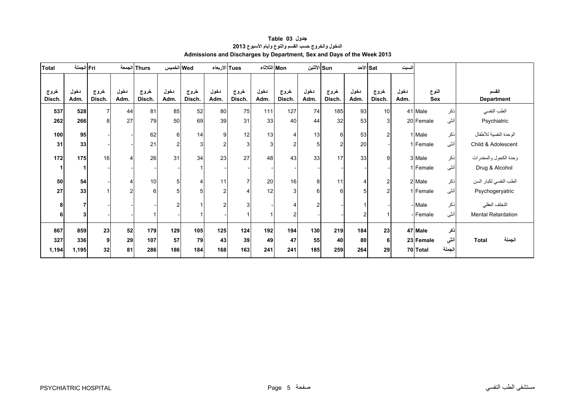<span id="page-3-0"></span>

| Total          | Fri الجملة   |                |                | Thurs الجمعة   | Wed الخميس     |                | Tues الأربعاء  |                | Mon الثلاثاء |                |              | Sun الأثنين    |              | الأحد ا        | لسبت         |              |        |                            |
|----------------|--------------|----------------|----------------|----------------|----------------|----------------|----------------|----------------|--------------|----------------|--------------|----------------|--------------|----------------|--------------|--------------|--------|----------------------------|
| خروج<br>Disch. | دخول<br>Adm. | خروج<br>Disch. | دخول<br>Adm.   | خروج<br>Disch. | دخول<br>Adm.   | خروج<br>Disch. | دخول<br>Adm.   | خروج<br>Disch. | دخول<br>Adm. | خروج<br>Disch. | دخول<br>Adm. | خروج<br>Disch. | دخول<br>Adm. | خروج<br>Disch. | دخول<br>Adm. | النوع<br>Sex |        | القسم<br><b>Department</b> |
| 537            | 528          | $\overline{7}$ | 44             | 81             | 85             | 52             | 80             | 75             | 111          | 127            | 74           | 185            | 93           | 10             |              | 41 Male      | نكر    | الطب النفسي                |
| 262            | 266          | 8              | 27             | 79             | 50             | 69             | 39             | 31             | 33           | 40             | 44           | 32             | 53           | $\overline{3}$ |              | 20 Female    | أنثى   | Psychiatric                |
| 100            | 95           |                |                | 62             | 6              | 14             | 9              | 12             | 13           | 4              | 13           | 6              | 53           | $\overline{c}$ |              | 1 Male       | ذكر    | الوحدة النفسية للأطفال     |
| 31             | 33           |                |                | 21             | $\overline{2}$ | 3              | $\overline{2}$ | 3 <sub>l</sub> | $\mathbf{3}$ | $\overline{c}$ | 5            | $\mathcal{P}$  | 20           |                |              | 1 Female     | أنثى   | Child & Adolescent         |
| 172            | 175          | 16             | 4              | 26             | 31             | 34             | 23             | 27             | 48           | 43             | 33           | 17             | 33           | 9              |              | 3 Male       | نكر    | وحدة الكحول والمخدرات      |
|                |              |                |                |                |                |                |                |                |              |                |              |                |              |                |              | 1 Female     | أنثى   | Drug & Alcohol             |
| 50             | 54           |                | 4              | 10             | 5              | $\overline{4}$ | 11             | $\overline{7}$ | 20           | 16             | 8            | 11             |              | $\overline{2}$ |              | 2 Male       | نكر    | الطب النفسي لكبار السن     |
| 27             | 33           |                | $\overline{2}$ | 6              |                | 5              | $\overline{2}$ |                | 12           | 3 <sub>l</sub> | 6            | 6              |              | $\mathcal{P}$  |              | 1 Female     | أنثى   | Psychogeryatric            |
| 8              | 7            |                |                |                |                |                | $\overline{2}$ | 3              |              |                | 2            |                |              |                |              | - Male       | نكر    | التخلف العقلي              |
| 6              | 3            |                |                |                |                |                |                |                |              | 2              |              |                |              |                |              | - Female     | أنثى   | Mental Retardation         |
|                |              |                |                |                |                |                |                |                |              |                |              |                |              |                |              |              |        |                            |
| 867            | 859          | 23             | 52             | 179            | 129            | 105            | 125            | 124            | 192          | 194            | 130          | 219            | 184          | 23             |              | 47 Male      | نكر    |                            |
| 327            | 336          | 9 <sup>1</sup> | 29             | 107            | 57             | 79             | 43             | 39             | 49           | 47             | 55           | 40             | 80           | 6              |              | 23 Female    | أنشى   | الجملة<br><b>Total</b>     |
| 1,194          | 1,195        | 32             | 81             | 286            | 186            | 184            | 168            | 163            | 241          | 241            | 185          | 259            | 264          | 29             |              | 70 Total     | الجملة |                            |

## **جدول 03 Table الدخول والخروج حسب القسم والنوع وأيام األسبوع<sup>2013</sup> Admissions and Discharges by Department, Sex and Days of the Week 2013**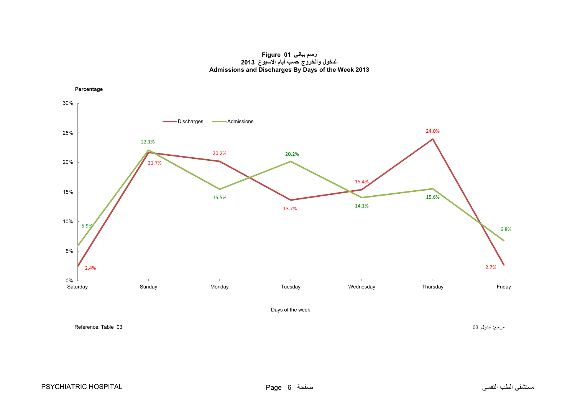#### **رسم بياني 01 Figure الدخول والخروج حسب أيام االسبوع <sup>2013</sup> Admissions and Discharges By Days of the Week 2013**

<span id="page-4-0"></span>

مرجع: جدول 03 03 Neference: Table : 03 مرجع: جدول 03 O3 المسرجع: جدول 03 Reference: Table 03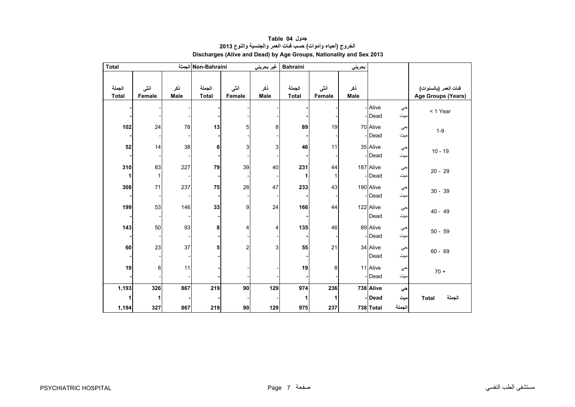<span id="page-5-0"></span>

| <b>Total</b>    |                    |             | Non-Bahraini الجملة    |                | غير بحريني         | <b>Bahraini</b>        |                | بحريني      |                    |           |                                             |
|-----------------|--------------------|-------------|------------------------|----------------|--------------------|------------------------|----------------|-------------|--------------------|-----------|---------------------------------------------|
| الجملة<br>Total | أننى<br>Female     | ذكر<br>Male | الجملة<br><b>Total</b> | أنشى<br>Female | نكر<br><b>Male</b> | الجملة<br><b>Total</b> | أننى<br>Female | ذكر<br>Male |                    |           | فنات العمر (بالسنوات)<br>Age Groups (Years) |
|                 |                    |             |                        |                |                    |                        |                |             | - Alive<br>- Dead  | حي<br>میت | < 1 Year                                    |
| 102             | 24                 | 78          | 13                     | 5              | 8                  | 89                     | 19             |             | 70 Alive<br>-Dead  | حي<br>میت | $1 - 9$                                     |
| 52              | 14                 | 38          | 6                      | 3              | 3                  | 46                     | 11             |             | 35 Alive<br>-Dead  | حي<br>میت | $10 - 19$                                   |
| 310<br>1        | 83<br>$\mathbf{1}$ | 227         | 79                     | 39             | 40                 | 231                    | 44<br>1        |             | 187 Alive<br>-Dead | حي<br>میت | $20 - 29$                                   |
| 308             | 71                 | 237         | 75                     | 28             | 47                 | 233                    | 43             |             | 190 Alive<br>-Dead | حي<br>میت | $30 - 39$                                   |
| 199             | 53                 | 146         | 33                     | 9              | 24                 | 166                    | 44             |             | 122 Alive<br>Dead  | حي<br>میت | $40 - 49$                                   |
| 143             | 50                 | 93          | 8                      | 4              | 4                  | 135                    | 46             |             | 89 Alive<br>-Dead  | حي<br>میت | $50 - 59$                                   |
| 60              | 23                 | 37          | 5                      | $\overline{2}$ | 3                  | 55                     | 21             |             | 34 Alive<br>Dead   | حي<br>میت | $60 - 69$                                   |
| 19              | $\bf 8$            | 11          |                        |                |                    | 19                     | 8              |             | 11 Alive<br>- Dead | حي<br>میت | $70 +$                                      |
| 1,193           | 326                | 867         | 219                    | 90             | 129                | 974                    | 236            |             | 738 Alive          | حي        |                                             |
| 1               | 1                  |             |                        |                |                    |                        | 1              |             | -Dead              | میت       | الجملة<br><b>Total</b>                      |
| 1,194           | 327                | 867         | 219                    | $90\,$         | 129                | 975                    | 237            |             | 738 Total          | الجملة    |                                             |

### **جدول 04 Table الخروج (أحياء وأموات) حسب فئات العمر والجنسية والنوع <sup>2013</sup> Discharges (Alive and Dead) by Age Groups, Nationality and Sex 2013**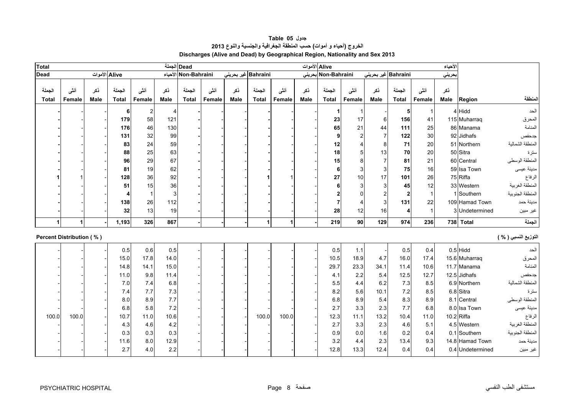<span id="page-6-0"></span>

| <b>Total</b>           | Dead الجملة              |                    |                        |                |                    |                        |                 |             |                        |                |             | Alive الأموات          |                |                     |                        |                | الأحياء            |                  |                      |
|------------------------|--------------------------|--------------------|------------------------|----------------|--------------------|------------------------|-----------------|-------------|------------------------|----------------|-------------|------------------------|----------------|---------------------|------------------------|----------------|--------------------|------------------|----------------------|
| <b>Dead</b>            |                          | Alive الأموات      |                        |                |                    | الأحياء Non-Bahraini   |                 |             | Bahraini غیر بحرینی    |                |             | Non-Bahraini بحرينى    |                | Bahraini غیر بحرینی |                        |                | حريني              |                  |                      |
| الجملة<br><b>Total</b> | أنشى<br>Female           | نكر<br><b>Male</b> | الجملة<br><b>Total</b> | أنشى<br>Female | نكر<br><b>Male</b> | الجملة<br><b>Total</b> | أننسى<br>Female | نكر<br>Male | الجملة<br><b>Total</b> | أننى<br>Female | نكر<br>Male | الجملة<br><b>Total</b> | أننى<br>Female | نكر<br>Male         | الجملة<br><b>Total</b> | أنشى<br>Female | نكر<br><b>Male</b> | Region           | المنطقة              |
|                        |                          |                    | 6                      | $\mathbf{2}$   | 4                  |                        |                 |             |                        |                |             |                        |                |                     | 5                      | -1             |                    | 4 Hidd           | الحد                 |
|                        |                          |                    | 179                    | 58             | 121                |                        |                 |             |                        |                |             | 23                     | 17             | 6                   | 156                    | 41             |                    | 115 Muharraq     | المحرق               |
|                        |                          |                    | 176                    | 46             | 130                |                        |                 |             |                        |                |             | 65                     | 21             | 44                  | 111                    | 25             |                    | 86 Manama        | المنامة              |
|                        |                          |                    | 131                    | 32             | 99                 |                        |                 |             |                        |                |             | 9                      |                |                     | 122                    | 30             |                    | 92 Jidhafs       | جدحفص                |
|                        |                          |                    | 83                     | 24             | 59                 |                        |                 |             |                        |                |             | 12                     |                | 8                   | 71                     | 20             |                    | 51 Northern      | المنطقة الشمالية     |
|                        |                          |                    | 88                     | 25             | 63                 |                        |                 |             |                        |                |             | 18                     |                | 13                  | 70                     | 20             |                    | 50 Sitra         | سترة                 |
|                        |                          |                    | 96                     | 29             | 67                 |                        |                 |             |                        |                |             | 15                     | 8              |                     | 81                     | 21             |                    | 60 Central       | المنطقة الوسطى       |
|                        |                          |                    | 81                     | 19             | 62                 |                        |                 |             |                        |                |             | 6                      |                | 3                   | 75                     | 16             |                    | 59 Isa Town      | مدينة عيسى           |
|                        |                          |                    | 128                    | 36             | 92                 |                        |                 |             |                        |                |             | 27                     | 10             | 17                  | 101                    | 26             |                    | 75 Riffa         | الرفاع               |
|                        |                          |                    | 51                     | 15             | 36                 |                        |                 |             |                        |                |             | 6                      |                | 3                   | 45                     | 12             |                    | 33 Western       | المنطقة الغربية      |
|                        |                          |                    | 4                      |                | 3                  |                        |                 |             |                        |                |             |                        |                |                     | $\overline{2}$         | $\overline{1}$ |                    | 1 Southern       | المنطقة الجنوبية     |
|                        |                          |                    | 138                    | 26             | 112                |                        |                 |             |                        |                |             |                        |                | 3                   | 131                    | 22             |                    | 109 Hamad Town   | مدينة حمد            |
|                        |                          |                    | 32                     | 13             | 19                 |                        |                 |             |                        |                |             | 28                     | 12             | 16                  | 4                      | -1             |                    | 3 Undetermined   | غير مبين             |
|                        | $\mathbf{1}$             |                    | 1,193                  | 326            | 867                |                        |                 |             | $\mathbf{1}$           | $\mathbf{1}$   |             | 219                    | 90             | 129                 | 974                    | 236            |                    | 738 Total        | الجملة               |
|                        | Percent Distribution (%) |                    |                        |                |                    |                        |                 |             |                        |                |             |                        |                |                     |                        |                |                    |                  | التوزيع النسبي ( % ) |
|                        |                          |                    | 0.5                    | 0.6            | 0.5                |                        |                 |             |                        |                |             | 0.5                    | 1.1            |                     | 0.5                    | 0.4            |                    | $0.5$ Hidd       | الحد                 |
|                        |                          |                    | 15.0                   | 17.8           | 14.0               |                        |                 |             |                        |                |             | 10.5                   | 18.9           | 4.7                 | 16.0                   | 17.4           |                    | 15.6 Muharraq    | المحرق               |
|                        |                          |                    | 14.8                   | 14.1           | 15.0               |                        |                 |             |                        |                |             | 29.7                   | 23.3           | 34.1                | 11.4                   | 10.6           |                    | 11.7 Manama      | المنامة              |
|                        |                          |                    | 11.0                   | 9.8            | 11.4               |                        |                 |             |                        |                |             | 4.1                    | 2.2            | 5.4                 | 12.5                   | 12.7           |                    | 12.5 Jidhafs     | جدحفص                |
|                        |                          |                    | 7.0                    | 7.4            | 6.8                |                        |                 |             |                        |                |             | 5.5                    | 4.4            | 6.2                 | 7.3                    | 8.5            |                    | 6.9 Northern     | المنطقة الشمالية     |
|                        |                          |                    | 7.4                    | 7.7            | 7.3                |                        |                 |             |                        |                |             | 8.2                    | 5.6            | 10.1                | 7.2                    | 8.5            |                    | 6.8 Sitra        | سترة                 |
|                        |                          |                    | 8.0                    | 8.9            | 7.7                |                        |                 |             |                        |                |             | 6.8                    | 8.9            | 5.4                 | 8.3                    | 8.9            |                    | 8.1 Central      | المنطقة الوسطى       |
|                        |                          |                    | 6.8                    | 5.8            | 7.2                |                        |                 |             |                        |                |             | 2.7                    | 3.3            | 2.3                 | 7.7                    | 6.8            |                    | 8.0 Isa Town     | مدينة عيسى           |
| 100.0                  | 100.0                    |                    | 10.7                   | 11.0           | 10.6               |                        |                 |             | 100.0                  | 100.0          |             | 12.3                   | 11.1           | 13.2                | 10.4                   | 11.0           |                    | $10.2$ Riffa     | الرفاع               |
|                        |                          |                    | 4.3                    | 4.6            | 4.2                |                        |                 |             |                        |                |             | 2.7                    | 3.3            | 2.3                 | 4.6                    | 5.1            |                    | 4.5 Western      | المنطقة الغربية      |
|                        |                          |                    | 0.3                    | 0.3            | 0.3                |                        |                 |             |                        |                |             | 0.9                    | 0.0            | 1.6                 | 0.2                    | 0.4            |                    | 0.1 Southern     | المنطقة الجنوبية     |
|                        |                          |                    | 11.6                   | 8.0            | 12.9               |                        |                 |             |                        |                |             | 3.2                    | 4.4            | 2.3                 | 13.4                   | 9.3            |                    | 14.8 Hamad Town  | مدينة حمد            |
|                        |                          |                    | 2.7                    | 4.0            | 2.2                |                        |                 |             |                        |                |             | 12.8                   | 13.3           | 12.4                | 0.4                    | 0.4            |                    | 0.4 Undetermined | غير مبين             |

# **جدول 05 Table الخروج (أحياء <sup>و</sup> أموات) حسب المنطقة الجغرافية والجنسية والنوع <sup>2013</sup> Discharges (Alive and Dead) by Geographical Region, Nationality and Sex 2013**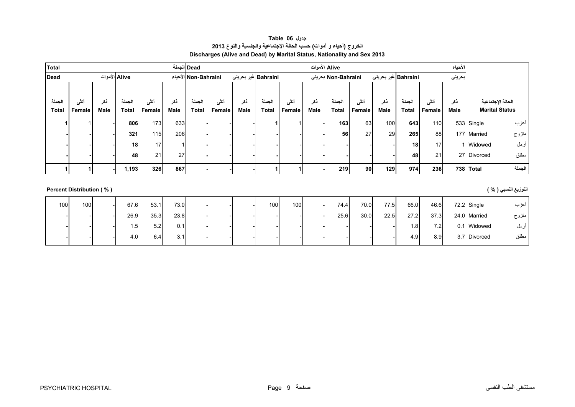| جدول Table 06                                                           |
|-------------------------------------------------------------------------|
| الخروج (أحياء و أموات) حسب الحالة الإجتماعية والجنسية والنوع 2013       |
| Discharges (Alive and Dead) by Marital Status, Nationality and Sex 2013 |

<span id="page-7-0"></span>

| <b>Total</b> |        |      |               |        |             | Dead الجملة          |        |      |                             |        |      | Alive الأموات       |        |                     |              |        | الأحياء |                       |        |
|--------------|--------|------|---------------|--------|-------------|----------------------|--------|------|-----------------------------|--------|------|---------------------|--------|---------------------|--------------|--------|---------|-----------------------|--------|
| Dead         |        |      | Alive الأموات |        |             | Non-Bahraini الأحياء |        |      | Bahraini غير بحرين <i>ي</i> |        |      | Non-Bahraini بحرينى |        | Bahraini غیر بحرینی |              |        | بحريني  |                       |        |
|              |        |      |               |        |             |                      |        |      |                             |        |      |                     |        |                     |              |        |         |                       |        |
| الجملة       | أنشى   | ڏکر  | الجملة        | أنشى   | ذكر         | الجملة               | أنشى   | ذكر  | الجملة                      | أننسى  | ذكر  | الحملة              | أنشى   | ذكر                 | الجملة       | أننسى  | نكر     | الحالة الإجتماعية     |        |
| <b>Total</b> | Female | Male | <b>Total</b>  | Female | <b>Male</b> | <b>Total</b>         | Female | Male | <b>Total</b>                | Female | Male | <b>Total</b>        | Female | Male                | <b>Total</b> | Female | Male    | <b>Marital Status</b> |        |
|              |        |      | 806           | 173    | 633         |                      |        |      |                             |        |      | 163                 | 63     | 100                 | 643          | 110    |         | 533 Single            | أعزب   |
|              |        |      | 321           | 115    | 206         |                      |        |      |                             |        |      | 56                  | 27     | 29                  | 265          | 88     |         | 177 Married           | متزوج  |
|              |        |      | 18            | 17     |             |                      |        |      |                             |        |      |                     |        |                     | 18           | 17     |         | 1 Widowed             | أرمل   |
|              |        |      | 48            | 21     | 27          |                      |        |      |                             |        |      |                     |        |                     | 48           | 21     |         | 27 Divorced           | مطلق   |
|              |        |      | 1,193         | 326    | 867         |                      |        |      |                             |        |      | 219                 | 90     | 129                 | 974          | 236    | 738     | <b>Total</b>          | الجملة |
|              |        |      |               |        |             |                      |        |      |                             |        |      |                     |        |                     |              |        |         |                       |        |

# **التوزيع النسبي ( % ) ( % ) Distribution Percent**

| 100 <sup>1</sup> | 100 | 67.6 | 53.1 | 73.0 |  | 100 <sub>1</sub> | 100 | 74.4 | 70.0 | 77.5 | 66.0 | 46.6             | $72.2$ Single | أعزب  |
|------------------|-----|------|------|------|--|------------------|-----|------|------|------|------|------------------|---------------|-------|
|                  |     | 26.9 | 35.3 | 23.8 |  |                  |     | 25.6 | 30.0 | 22.5 | 27.2 | 37.3             | 24.0 Married  | متزوج |
|                  |     | . 51 | 5.2  | 0.1  |  |                  |     |      |      |      | . 8  | 7.2              | 0.1 Widowed   | ارمل  |
|                  |     | 4.0  | 6.4  | 3.1  |  |                  |     |      |      |      | 4.9  | 8.9 <sub>1</sub> | 3.7 Divorced  | مطلق  |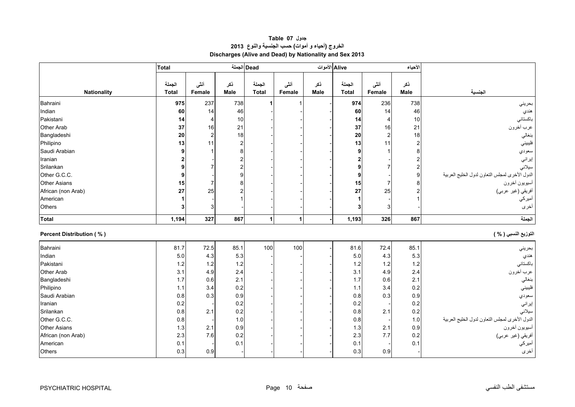# **جدول 07 Table الخروج (أحياء <sup>و</sup> أموات) حسب الجنسية والنوع <sup>2013</sup> Discharges (Alive and Dead) by Nationality and Sex 2013**

<span id="page-8-0"></span>

|                                 | <b>Total</b> |                         |                         | Dead الجملة  |        |             | Alive الأموات           |                  | الأحياء        |                                                |
|---------------------------------|--------------|-------------------------|-------------------------|--------------|--------|-------------|-------------------------|------------------|----------------|------------------------------------------------|
|                                 |              |                         |                         |              |        |             |                         |                  |                |                                                |
|                                 | الجملة       | أنشى                    | ذكر                     | الجملة       | أننسى  | نكر         | الجملة                  | أننى             | نكر            |                                                |
| <b>Nationality</b>              | <b>Total</b> | Female                  | <b>Male</b>             | <b>Total</b> | Female | <b>Male</b> | <b>Total</b>            | Female           | <b>Male</b>    | الجنسية                                        |
| Bahraini                        | 975          | 237                     | 738                     |              |        |             | 974                     | 236              | 738            | بحريني                                         |
| Indian                          | 60           | 14                      | 46                      |              |        |             | 60                      | 14               | 46             | هندي                                           |
| Pakistani                       | 14           | 4                       | 10                      |              |        |             | 14                      | 4                | 10             | باكستاني                                       |
| Other Arab                      | 37           | 16                      | 21                      |              |        |             | 37                      | 16               | 21             | عرب أخرون                                      |
| Bangladeshi                     | 20           | $\overline{\mathbf{c}}$ | $18$                    |              |        |             | 20                      | $\boldsymbol{2}$ | 18             | بنغالي                                         |
| Philipino                       | 13           | 11                      | $\overline{2}$          |              |        |             | 13                      | 11               | $\overline{2}$ | فليبيني                                        |
| Saudi Arabian                   |              |                         | 8                       |              |        |             | 9                       |                  | 8              | سعودي                                          |
| Iranian                         |              |                         | $\overline{\mathbf{c}}$ |              |        |             | $\overline{\mathbf{c}}$ |                  | $\overline{c}$ | إيراني                                         |
| Srilankan                       |              | 7                       | $\overline{\mathbf{c}}$ |              |        |             | 9                       | $\overline{7}$   | $\overline{c}$ | سيلاني                                         |
| Other G.C.C.                    |              |                         | 9                       |              |        |             | 9                       |                  | 9              | الدول الأخرى لمجلس التعاون لدول الخليج العربية |
| <b>Other Asians</b>             | 15           | $\overline{7}$          | 8                       |              |        |             | 15                      | $\overline{7}$   |                | أسيويون أخرون<br>أفريقي (غير عربي)             |
| African (non Arab)              | 27           | 25                      | 2                       |              |        |             | 27                      | 25               |                |                                                |
| American                        |              |                         |                         |              |        |             | 1                       |                  |                | أميركي                                         |
| Others                          | 3            | 3                       |                         |              |        |             | 3                       | 3                |                | أخرى                                           |
| <b>Total</b>                    | 1,194        | 327                     | 867                     |              | 1      |             | 1,193                   | 326              | 867            | الجملة                                         |
| <b>Percent Distribution (%)</b> |              |                         |                         |              |        |             |                         |                  |                | التوزيع النسبي ( % )                           |
| Bahraini                        | 81.7         | 72.5                    | 85.1                    | 100          | 100    |             | 81.6                    | 72.4             | 85.1           | بحريني                                         |
| Indian                          | 5.0          | 4.3                     | 5.3                     |              |        |             | 5.0                     | 4.3              | 5.3            | هندي                                           |
| Pakistani                       | 1.2          | $1.2$                   | $1.2$                   |              |        |             | 1.2                     | 1.2              | 1.2            | باكستانى                                       |
| Other Arab                      | 3.1          | 4.9                     | 2.4                     |              |        |             | 3.1                     | 4.9              | 2.4            | عرب أخرون                                      |
| Bangladeshi                     | 1.7          | 0.6                     | 2.1                     |              |        |             | 1.7                     | 0.6              | 2.1            | بنغالي                                         |
| Philipino                       | 1.1          | 3.4                     | 0.2                     |              |        |             | 1.1                     | 3.4              | 0.2            | فليبيني                                        |
| Saudi Arabian                   | 0.8          | 0.3                     | 0.9                     |              |        |             | 0.8                     | 0.3              | 0.9            | سعودي                                          |
| Iranian                         | 0.2          |                         | 0.2                     |              |        |             | 0.2                     |                  | 0.2            | إيراني                                         |
| Srilankan                       | 0.8          | 2.1                     | $0.2\,$                 |              |        |             | 0.8                     | 2.1              | 0.2            | سيلانى                                         |
| Other G.C.C.                    | 0.8          |                         | 1.0                     |              |        |             | 0.8                     |                  | 1.0            | الدول الأخرى لمجلس النعاون لدول الخليج العربية |
| <b>Other Asians</b>             | 1.3          | 2.1                     | 0.9                     |              |        |             | 1.3                     | 2.1              | 0.9            | أسيويون أخرون                                  |
| African (non Arab)              | 2.3          | 7.6                     | 0.2                     |              |        |             | 2.3                     | 7.7              | 0.2            | .<br>أفريقي (غير عربي)                         |
| American                        | 0.1          |                         | 0.1                     |              |        |             | 0.1                     |                  | 0.1            | أميركي                                         |
| Others                          | 0.3          | 0.9                     |                         |              |        |             | 0.3                     | 0.9              |                | أخرى                                           |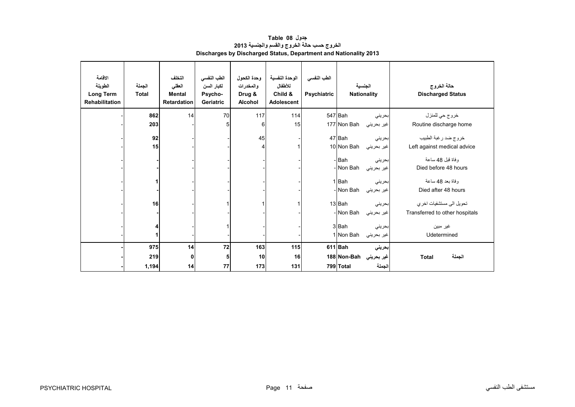<span id="page-9-0"></span>

| الاقامة<br>الطويلة<br><b>Long Term</b><br><b>Rehabilitation</b> | الجملة<br><b>Total</b> | التخلف<br>العقلى<br><b>Mental</b><br><b>Retardation</b> | الطب النفسي<br>لكبار السن<br>Psycho-<br><b>Geriatric</b> | وحدة الكحول<br>والمخدرات<br>Drug &<br><b>Alcohol</b> | الوحدة النفسية<br>للأطفال<br>Child &<br>Adolescent | الطب النفسى<br><b>Psychiatric</b> | الجنسية                           | <b>Nationality</b>   | حالة الخروج<br><b>Discharged Status</b>                    |
|-----------------------------------------------------------------|------------------------|---------------------------------------------------------|----------------------------------------------------------|------------------------------------------------------|----------------------------------------------------|-----------------------------------|-----------------------------------|----------------------|------------------------------------------------------------|
|                                                                 | 862                    | 14                                                      | 70                                                       | 117                                                  | 114                                                |                                   | 547 Bah                           | بحريني               | خروج حي للمنزل                                             |
|                                                                 | 203                    |                                                         |                                                          | 6                                                    | 15                                                 |                                   | 177 Non Bah                       | غير بحريني           | Routine discharge home                                     |
|                                                                 | 92<br>15               |                                                         |                                                          | 45<br>4                                              |                                                    |                                   | 47 Bah<br>10 Non Bah              | بحريني<br>غير بحريني | خروج ضد رغبة الطبيب<br>Left against medical advice         |
|                                                                 |                        |                                                         |                                                          |                                                      |                                                    |                                   | - Bah<br>- Non Bah                | بحرينى<br>غير بحريني | وفاة قبل 48 ساعة<br>Died before 48 hours                   |
|                                                                 | 1                      |                                                         |                                                          |                                                      |                                                    |                                   | 1 Bah<br>- Non Bah                | بحريني<br>غير بحريني | وفاة بعد 48 ساعة<br>Died after 48 hours                    |
|                                                                 | 16                     |                                                         |                                                          |                                                      |                                                    |                                   | 13 Bah<br>- Non Bah               | بحريني<br>غير بحريني | تحويل الى مستشفيات اخر ي<br>Transferred to other hospitals |
|                                                                 | 4<br>1                 |                                                         |                                                          |                                                      |                                                    |                                   | 3 Bah<br>1 Non Bah                | بحريني<br>غير بحريني | غير مبين<br>Udetermined                                    |
|                                                                 | 975<br>219             | 14<br>$\mathbf{0}$                                      | 72<br>5                                                  | 163<br>10                                            | 115<br>16                                          |                                   | 611 Bah<br>غير بحريني Non-Bahإ188 | بحريني               | الجملة<br><b>Total</b>                                     |
|                                                                 | 1,194                  | 14                                                      | 77                                                       | 173                                                  | 131                                                |                                   | 799 Total                         | الجملة               |                                                            |

#### **جدول 08 Table الخروج حسب حالة الخروج والقسم والجنسية <sup>2013</sup> Discharges by Discharged Status, Department and Nationality 2013**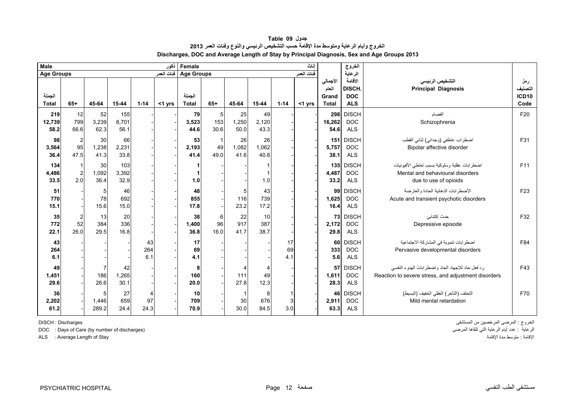<span id="page-10-0"></span>

| <b>Male</b>            |                       |                     |                          |                  | أنكور      | Female                 |                  |                     |                     |                 | اناث       |                                            | الخروج                                              |                                                                                                           |                                       |
|------------------------|-----------------------|---------------------|--------------------------|------------------|------------|------------------------|------------------|---------------------|---------------------|-----------------|------------|--------------------------------------------|-----------------------------------------------------|-----------------------------------------------------------------------------------------------------------|---------------------------------------|
| <b>Age Groups</b>      |                       |                     |                          |                  | فنات العمر | <b>Age Groups</b>      |                  |                     |                     |                 | فنات العمر |                                            | الرعاية                                             |                                                                                                           |                                       |
| الجملة<br><b>Total</b> | $65+$                 | 45-64               | 15-44                    | $1 - 14$         | <1 yrs     | الجملة<br><b>Total</b> | $65+$            | 45-64               | 15-44               | $1 - 14$        | <1 yrs     | الأجمالي<br>العام<br>Grand<br><b>Total</b> | الأقامة<br><b>DISCH</b><br><b>DOC</b><br><b>ALS</b> | التشخيص الرئيسي<br><b>Principal Diagnosis</b>                                                             | رمز<br>لتصنيف<br><b>ICD10</b><br>Code |
| 219<br>12,739<br>58.2  | 12<br>799<br>66.6     | 52<br>3,239<br>62.3 | 155<br>8,701<br>56.1     |                  |            | 79<br>3,523<br>44.6    | 5<br>153<br>30.6 | 25<br>1,250<br>50.0 | 49<br>2,120<br>43.3 |                 |            | 298<br>16,262<br>54.6                      | <b>DISCH</b><br><b>DOC</b><br><b>ALS</b>            | الفصام<br>Schizophrenia                                                                                   | F20                                   |
| 98<br>3,564<br>36.4    | 95<br>47.5            | 30<br>1,238<br>41.3 | 66<br>2,231<br>33.8      |                  |            | 53<br>2,193<br>41.4    | 49<br>490        | 26<br>1,082<br>41.6 | 26<br>1,062<br>40.8 |                 |            | 151<br>5,757<br>38.1                       | <b>DISCH</b><br><b>DOC</b><br><b>ALS</b>            | اضطراب عاطفي (وجداني) ثنائي القطب<br>Bipolar affective disorder                                           | F31                                   |
| 134<br>4,486<br>33.5   | $\overline{2}$<br>2.0 | 30<br>1,092<br>36.4 | 103<br>3,392<br>32.9     |                  |            | 1.0                    |                  |                     | 1.0                 |                 |            | 4,487<br>33.2                              | 135 DISCH<br><b>DOC</b><br><b>ALS</b>               | اضطرابات عقلية وسلوكية بسبب تعاطى الأفيونيات<br>Mental and behavioural disorders<br>due to use of opioids | F11                                   |
| 51<br>770<br>15.1      |                       | 78<br>15.6          | 46<br>692<br>15.0        |                  |            | 48<br>855<br>17.8      |                  | 5<br>116<br>23.2    | 43<br>739<br>17.2   |                 |            | 99<br>1,625<br>16.4                        | <b>DISCH</b><br><b>DOC</b><br><b>ALS</b>            | الأضطرابات الذهانية الحادة والعارضة<br>Acute and transient psychotic disorders                            | F <sub>23</sub>                       |
| 35<br>772<br>22.1      | 2<br>52<br>26.0       | 13<br>384<br>29.5   | 20<br><b>336</b><br>16.8 |                  |            | 38<br>1,400<br>36.8    | 6<br>96<br>16.0  | 22<br>917<br>41.7   | 10<br>387<br>38.7   |                 |            | 73<br>2,172<br>29.8                        | <b>DISCH</b><br><b>DOC</b><br><b>ALS</b>            | حدث إكتئابئ<br>Depressive episode                                                                         | F32                                   |
| 43<br>264<br>6.1       |                       |                     |                          | 43<br>264<br>6.1 |            | 17<br>69<br>4.1        |                  |                     |                     | 17<br>69<br>4.1 |            | 60<br>333<br>5.6                           | <b>DISCH</b><br><b>DOC</b><br><b>ALS</b>            | اضطرابات تنموية في المشاركة الاجتماعية<br>Pervasive developmental disorders                               | F84                                   |
| 49<br>1,451<br>29.6    |                       | 186<br>26.6         | 42<br>1,265<br>30.1      |                  |            | 8<br>160<br>20.0       |                  | 111<br>27.8         | 4<br>49<br>12.3     |                 |            | 57<br>1,611<br>28.3                        | <b>DISCH</b><br><b>DOC</b><br><b>ALS</b>            | رد فعل حاد للإجهاد الحاد واضطرابات الهدوء النفسي<br>Reaction to severe stress, and adjustment disorders   | F43                                   |
| 36<br>2,202<br>61.2    |                       | 1,446<br>289.2      | 27<br>659<br>24.4        | 97<br>24.3       |            | 10<br>709<br>70.9      |                  | 30<br>30.0          | 8<br>676<br>84.5    | 3.0             |            | 46<br>2,911<br>63.3                        | <b>DISCH</b><br><b>DOC</b><br><b>ALS</b>            | التخلف (التأخر ) العقلى الخفيف (البسيط)<br>Mild mental retardation                                        | F70                                   |

ALS : Average Length of Stay

الخروج : المرضى المرخصين من المستشفى Discharges : DISCH الرعاية التي نقاها المرضى DOC : Days of Care (by number of discharges)<br>الإقامة : متوسط مدة الإقامة الرقامة الرعاية التي تلقاها العرضى التي تلقاها العرضى التي تلقاها العرضى التي تلقا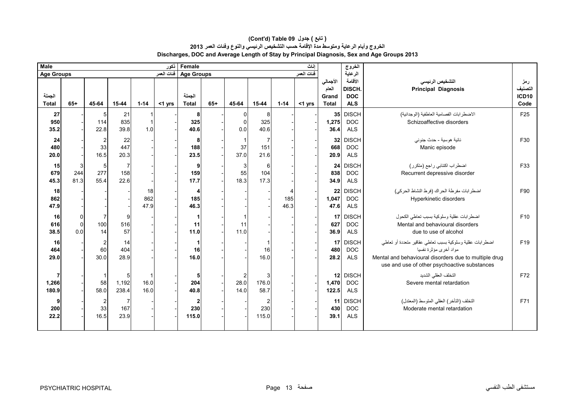#### **Discharges, DOC and Average Length of Stay by Principal Diagnosis, Sex and Age Groups 2013 (Cont'd) Table 09 جدول ) تابع( الخروج وأيام الرعاية ومتوسط مدة اإلقامة حسب التشخيص الرئيسي والنوع وفئات العمر <sup>2013</sup>**

| <b>Male</b><br>انكور   |                                   |                                       |                               |                   |            | إناث<br>Female                 |       |                                         |                                |             |            |                                            | الخروج                                              |                                                                                                                                                                                             |                                        |
|------------------------|-----------------------------------|---------------------------------------|-------------------------------|-------------------|------------|--------------------------------|-------|-----------------------------------------|--------------------------------|-------------|------------|--------------------------------------------|-----------------------------------------------------|---------------------------------------------------------------------------------------------------------------------------------------------------------------------------------------------|----------------------------------------|
| <b>Age Groups</b>      |                                   |                                       |                               |                   | فنات العمر | <b>Age Groups</b>              |       |                                         |                                |             | فنات العمر |                                            | الرعاية                                             |                                                                                                                                                                                             |                                        |
| الجملة<br><b>Total</b> | $65+$                             | 45-64                                 | 15-44                         | $1 - 14$          | $<$ 1 yrs  | الجملة<br><b>Total</b>         | $65+$ | 45-64                                   | $15 - 44$                      | $1 - 14$    | $<$ 1 yrs  | الأجمالي<br>العام<br>Grand<br><b>Total</b> | الأقامة<br><b>DISCH</b><br><b>DOC</b><br><b>ALS</b> | التشخيص الرئيسى<br><b>Principal Diagnosis</b>                                                                                                                                               | رمز<br>التصنيف<br><b>ICD10</b><br>Code |
| 27<br>950<br>35.2      |                                   | 5<br>114<br>22.8                      | 21<br>835<br>39.8             | 1.0               |            | 8<br>325<br>40.6               |       | 0<br>$\Omega$<br>0.0                    | 8<br>325<br>40.6               |             |            | 35<br>1,275<br>36.4                        | <b>DISCH</b><br><b>DOC</b><br><b>ALS</b>            | الاضطرابات الفصامية العاطفية (الوجدانية)<br>Schizoaffective disorders                                                                                                                       | F <sub>25</sub>                        |
| 24<br>480<br>20.0      |                                   | $\overline{\mathbf{c}}$<br>33<br>16.5 | 22<br>447<br>20.3             |                   |            | 8<br>188<br>23.5               |       | $\overline{1}$<br>37<br>37.0            | $\overline{7}$<br>151<br>21.6  |             |            | 32<br>668<br>20.9                          | <b>DISCH</b><br><b>DOC</b><br><b>ALS</b>            | نائية هوسية - حدث جنوني<br>Manic episode                                                                                                                                                    | F30                                    |
| 15<br>679<br>45.3      | 3<br>244<br>81.3                  | 5<br>277<br>55.4                      | $\overline{7}$<br>158<br>22.6 |                   |            | 9<br>159<br>17.7               |       | 3<br>55<br>18.3                         | 6<br>104<br>17.3               |             |            | 24<br>838<br>34.9                          | <b>DISCH</b><br><b>DOC</b><br><b>ALS</b>            | اضطراب اكتئابي راجع (متكرر)<br>Recurrent depressive disorder                                                                                                                                | F33                                    |
| 18<br>862<br>47.9      |                                   |                                       |                               | 18<br>862<br>47.9 |            | 4<br>185<br>46.3               |       |                                         |                                | 185<br>46.3 |            | 22<br>1,047<br>47.6                        | <b>DISCH</b><br><b>DOC</b><br><b>ALS</b>            | اضطرابات مفرطة الحراك (فرط النشاط الحركي)<br>Hyperkinetic disorders                                                                                                                         | F90                                    |
| 16<br>616<br>38.5      | $\overline{0}$<br>$\Omega$<br>0.0 | $\overline{7}$<br>100<br>14           | 9<br>516<br>57                |                   |            | -1<br>11<br>11.0               |       | 11<br>11.0                              |                                |             |            | 17<br>627<br>36.9                          | <b>DISCH</b><br><b>DOC</b><br><b>ALS</b>            | اضطرابات عقلية وسلوكية بسبب تعاطى الكحول<br>Mental and behavioural disorders<br>due to use of alcohol                                                                                       | F10                                    |
| 16<br>464<br>29.0      |                                   | $\overline{c}$<br>60<br>30.0          | 14<br>404<br>28.9             |                   |            | -1<br>16<br>16.0               |       |                                         | 16<br>16.0                     |             |            | 17<br>480<br>28.2                          | <b>DISCH</b><br><b>DOC</b><br><b>ALS</b>            | اضطرابات عقلية وسلوكية بسبب نعاطى عقاقير متعددة أو تعاطى<br>مواد أخرى مؤثر ة نفسيا<br>Mental and behavioural disorders due to multiple drug<br>use and use of other psychoactive substances | F <sub>19</sub>                        |
| 7<br>1,266<br>180.9    |                                   | $\overline{\mathbf{1}}$<br>58<br>58.0 | 5<br>1,192<br>238.4           | 16.0<br>16.0      |            | 5<br>204<br>40.8               |       | $\overline{\mathbf{c}}$<br>28.0<br>14.0 | 3<br>176.0<br>58.7             |             |            | 12<br>1,470<br>122.5                       | <b>DISCH</b><br>$\mathsf{DOC}$<br><b>ALS</b>        | التخلف العقلى الشديد<br>Severe mental retardation                                                                                                                                           | F72                                    |
| 9<br>200<br>22.2       |                                   | $\overline{c}$<br>33<br>16.5          | -7<br>167<br>23.9             |                   |            | $\overline{2}$<br>230<br>115.0 |       |                                         | $\overline{2}$<br>230<br>115.0 |             |            | 11<br>430<br>39.1                          | <b>DISCH</b><br><b>DOC</b><br><b>ALS</b>            | التخلف (التأخر) العقلي المتوسط (المعتدل)<br>Moderate mental retardation                                                                                                                     | F71                                    |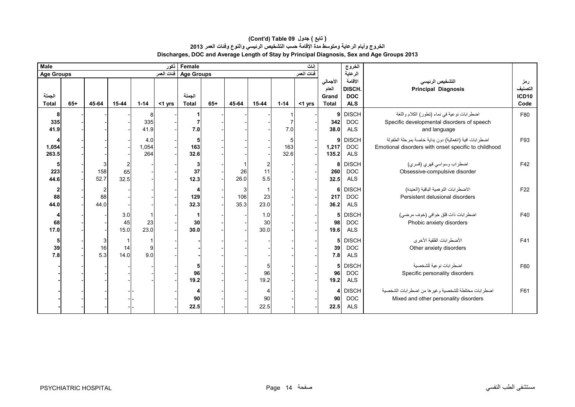| <b>Male</b>                           |       |                              |                              |                     | نكور       | Female<br>اناث         |       |                  |                              |                  |            |                                            | الخروج                                        |                                                                                                                |                                        |
|---------------------------------------|-------|------------------------------|------------------------------|---------------------|------------|------------------------|-------|------------------|------------------------------|------------------|------------|--------------------------------------------|-----------------------------------------------|----------------------------------------------------------------------------------------------------------------|----------------------------------------|
| <b>Age Groups</b>                     |       |                              |                              |                     | فئات العمر | <b>Age Groups</b>      |       |                  |                              |                  | فئات العمر |                                            | الرعاية                                       |                                                                                                                |                                        |
| الجملة<br><b>Total</b>                | $65+$ | 45-64                        | $15 - 44$                    | $1 - 14$            | <1 yrs     | الجملة<br><b>Total</b> | $65+$ | 45-64            | 15-44                        | $1 - 14$         | $<$ 1 yrs  | الأجمالى<br>العام<br>Grand<br><b>Total</b> | الأقامة<br>DISCH.<br><b>DOC</b><br><b>ALS</b> | التشخيص الرئيسى<br><b>Principal Diagnosis</b>                                                                  | رمز<br>التصنيف<br><b>ICD10</b><br>Code |
| 8<br>335<br>41.9                      |       |                              |                              | 8<br>335<br>41.9    |            | 1<br>7<br>7.0          |       |                  |                              | 7.0              |            | 9<br>342<br>38.0                           | <b>DISCH</b><br><b>DOC</b><br><b>ALS</b>      | اضطرابات نوعية في نماء (تطور) الكلام واللغة<br>Specific developmental disorders of speech<br>and language      | F80                                    |
| 4<br>1,054<br>263.5                   |       |                              |                              | 4.0<br>1,054<br>264 |            | 5<br>163<br>32.6       |       |                  |                              | 5<br>163<br>32.6 |            | 9<br>1,217<br>135.2                        | <b>DISCH</b><br><b>DOC</b><br><b>ALS</b>      | اضطرابات افية (انفعالية) دون بداية خاصة بمرحلة الطفولة<br>Emotional disorders with onset specific to childhood | F93                                    |
| 5<br>223<br>44.6                      |       | 3<br>158<br>52.7             | $\overline{c}$<br>65<br>32.5 |                     |            | 3<br>37<br>12.3        |       | 26<br>26.0       | $\overline{c}$<br>11<br>5.5  |                  |            | 8<br>260<br>32.5                           | <b>DISCH</b><br><b>DOC</b><br><b>ALS</b>      | اضطراب وسواسي قهري (قسري)<br>Obsessive-compulsive disorder                                                     | F42                                    |
| $\overline{\mathbf{2}}$<br>88<br>44.0 |       | $\overline{2}$<br>88<br>44.0 |                              |                     |            | 4<br>129<br>32.3       |       | 3<br>106<br>35.3 | $\mathbf{1}$<br>23<br>23.0   |                  |            | 6<br>217<br>36.2                           | <b>DISCH</b><br><b>DOC</b><br><b>ALS</b>      | الاضطر ابات التو همية الباقية (العنيدة)<br>Persistent delusional disorders                                     | F <sub>22</sub>                        |
| 4<br>68<br>17.0                       |       |                              | 3.0<br>45<br>15.0            | 23<br>23.0          |            | 1<br>30<br>30.0        |       |                  | 1.0<br>30<br>30.0            |                  |            | 5<br>98<br>19.6                            | <b>DISCH</b><br><b>DOC</b><br><b>ALS</b>      | اضطر ابات ذات قلق خوافي (خوف مرضي)<br>Phobic anxiety disorders                                                 | F40                                    |
| 5<br>39<br>7.8                        |       | 3<br>16<br>5.3               | 14<br>14.0                   | 9<br>9.0            |            |                        |       |                  |                              |                  |            | 5<br>39<br>7.8                             | <b>DISCH</b><br><b>DOC</b><br><b>ALS</b>      | الأضطرابات القلقية الأخرى<br>Other anxiety disorders                                                           | F41                                    |
|                                       |       |                              |                              |                     |            | 5<br>96<br>19.2        |       |                  | 5<br>96<br>19.2              |                  |            | 5 <sub>5</sub><br>96<br>19.2               | <b>DISCH</b><br><b>DOC</b><br><b>ALS</b>      | اضطر ابات نو عية للشخصية<br>Specific personality disorders                                                     | F60                                    |
|                                       |       |                              |                              |                     |            | 4<br>90<br>22.5        |       |                  | $\overline{4}$<br>90<br>22.5 |                  |            | 4<br>90<br>22.5                            | <b>DISCH</b><br><b>DOC</b><br><b>ALS</b>      | اضطرابات مختلطة للشخصية وغيرها من اضطرابات الشخصية<br>Mixed and other personality disorders                    | F61                                    |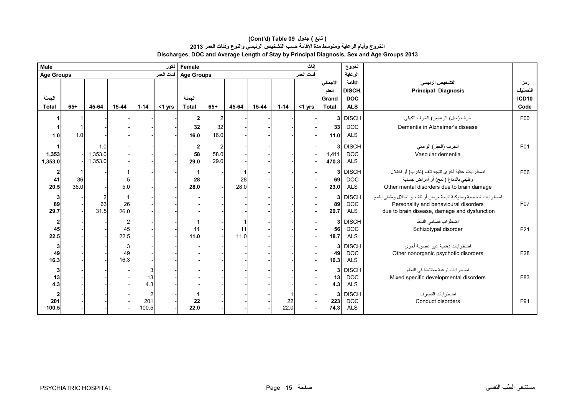| Male              |       |         |       |              | نكور       | اناث<br>Female    |       |       |       |            |            |                | الغروج                   |                                                               |              |
|-------------------|-------|---------|-------|--------------|------------|-------------------|-------|-------|-------|------------|------------|----------------|--------------------------|---------------------------------------------------------------|--------------|
| <b>Age Groups</b> |       |         |       |              | فئات العمر | <b>Age Groups</b> |       |       |       |            | فنات العمر |                | الرعاية                  |                                                               |              |
|                   |       |         |       |              |            |                   |       |       |       |            |            | الأجمالي       | الأقامة                  | التشخيص الرئيسى                                               | رمز          |
|                   |       |         |       |              |            |                   |       |       |       |            |            | العام          | DISCH.                   | <b>Principal Diagnosis</b>                                    | التصنيف      |
| الجملة            |       |         |       |              |            | الجملة            |       |       |       |            |            | Grand          | <b>DOC</b>               |                                                               | <b>ICD10</b> |
| <b>Total</b>      | $65+$ | 45-64   | 15-44 | $1 - 14$     | <1 yrs     | <b>Total</b>      | $65+$ | 45-64 | 15-44 | $1 - 14$   | $<$ 1 yrs  | <b>Total</b>   | <b>ALS</b>               |                                                               | Code         |
|                   |       |         |       |              |            | $\mathbf{2}$      |       |       |       |            |            |                | 3 DISCH                  | خرف (خبل) الز هايمر ) الخرف الكهلي                            | F00          |
|                   |       |         |       |              |            | 32                | 32    |       |       |            |            | 33             | <b>DOC</b>               | Dementia in Alzheimer's disease                               |              |
| 1.0               | 1.0   |         |       |              |            | 16.0              | 16.0  |       |       |            |            | 11.0           | <b>ALS</b>               |                                                               |              |
|                   |       | 1.0     |       |              |            | $\mathbf{2}$      |       |       |       |            |            |                | 3 DISCH                  | الخرف (الخبل) الوعائي                                         | F01          |
| 1,353             |       | 1,353.0 |       |              |            | 58                | 58.0  |       |       |            |            | 1,411          | <b>DOC</b>               | Vascular dementia                                             |              |
| 1,353.0           |       | 1,353.0 |       |              |            | 29.0              | 29.0  |       |       |            |            | 470.3          | <b>ALS</b>               |                                                               |              |
|                   |       |         |       |              |            |                   |       |       |       |            |            | 3              | <b>DISCH</b>             | اضطرابات عقلية أخرى نتيجة تلف (تخرب) أو اختلال                | F06          |
| 41                | 36    |         |       |              |            | 28                |       | 28    |       |            |            | 69             | <b>DOC</b>               | وظيفي بالدماغ (المخ) أو أمراض جسدية                           |              |
| 20.5              | 36.0  |         | 5.0   |              |            | 28.0              |       | 28.0  |       |            |            | 23.0           | <b>ALS</b>               | Other mental disorders due to brain damage                    |              |
| 3                 |       |         |       |              |            |                   |       |       |       |            |            | 3              | <b>DISCH</b>             | اضطرابات شخصية وسلوكية نتيجة مرض أو تلف أو اختلال وظيفي بالمخ |              |
| 89                |       | 63      | 26    |              |            |                   |       |       |       |            |            | 89             | <b>DOC</b>               | Personality and behavioural disorders                         | F07          |
| 29.7              |       | 31.5    | 26.0  |              |            |                   |       |       |       |            |            | 29.7           | <b>ALS</b>               | due to brain disease, damage and dysfunction                  |              |
| $\overline{2}$    |       |         |       |              |            |                   |       |       |       |            |            | 3              | <b>DISCH</b>             | اضطر اب فصامى النمط                                           |              |
| 45                |       |         | 45    |              |            | 11                |       | 11    |       |            |            | 56             | <b>DOC</b>               | Schizotypal disorder                                          | F21          |
| 22.5              |       |         | 22.5  |              |            | 11.0              |       | 11.0  |       |            |            | 18.7           | <b>ALS</b>               |                                                               |              |
| 3                 |       |         |       |              |            |                   |       |       |       |            |            | 3 <sup>1</sup> | <b>DISCH</b>             | اضطر ابات ذهانية غير عضوية أخر ي                              |              |
| 49                |       |         | 49    |              |            |                   |       |       |       |            |            | 49             | <b>DOC</b>               | Other nonorganic psychotic disorders                          | F28          |
| 16.3              |       |         | 16.3  |              |            |                   |       |       |       |            |            | $16.3$         | <b>ALS</b>               |                                                               |              |
| 3                 |       |         |       |              |            |                   |       |       |       |            |            | 3 <sup>1</sup> | <b>DISCH</b>             | اضطرابات نوعية مختلطة في النماء                               |              |
| 13                |       |         |       | 13           |            |                   |       |       |       |            |            | 13             | <b>DOC</b>               | Mixed specific developmental disorders                        | F83          |
| 4.3               |       |         |       | 4.3          |            |                   |       |       |       |            |            | 4.3            | <b>ALS</b>               |                                                               |              |
|                   |       |         |       |              |            |                   |       |       |       |            |            |                | 3 DISCH                  | اضطر ابات التصر ف                                             |              |
| 201<br>100.5      |       |         |       | 201<br>100.5 |            | 22<br>22.0        |       |       |       | 22<br>22.0 |            | 223<br>74.3    | <b>DOC</b><br><b>ALS</b> | Conduct disorders                                             | F91          |
|                   |       |         |       |              |            |                   |       |       |       |            |            |                |                          |                                                               |              |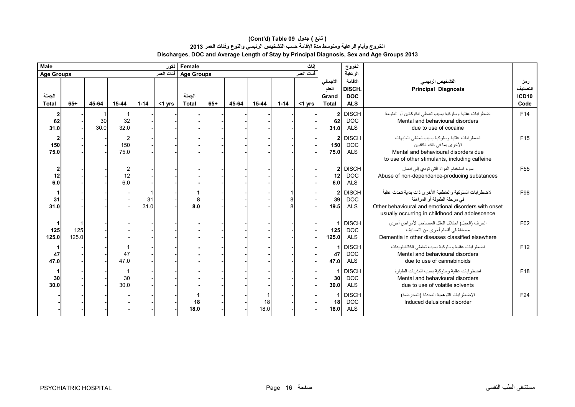| Male<br>ذكور           |              |            |             |            |           | اناث<br>Female         |       |       |            |          |            |                                            | الخروج                                        |                                                                                                                                                                                                     |                                        |
|------------------------|--------------|------------|-------------|------------|-----------|------------------------|-------|-------|------------|----------|------------|--------------------------------------------|-----------------------------------------------|-----------------------------------------------------------------------------------------------------------------------------------------------------------------------------------------------------|----------------------------------------|
| <b>Age Groups</b>      |              |            |             |            |           | Age Groups فَنات العمر |       |       |            |          | فنات العمر |                                            | الرعاية                                       |                                                                                                                                                                                                     |                                        |
| الجملة<br><b>Total</b> | $65+$        | 45-64      | $15 - 44$   | $1 - 14$   | $<$ 1 yrs | الجملة<br><b>Total</b> | $65+$ | 45-64 | $15 - 44$  | $1 - 14$ | $<$ 1 yrs  | الأجمالي<br>العام<br>Grand<br><b>Total</b> | الأقامة<br>DISCH.<br><b>DOC</b><br><b>ALS</b> | التشخيص الرئيسى<br><b>Principal Diagnosis</b>                                                                                                                                                       | رمز<br>التصنيف<br><b>ICD10</b><br>Code |
| 2<br>62<br>31.0        |              | 30<br>30.0 | 32<br>32.0  |            |           |                        |       |       |            |          |            | 2 <sub>1</sub><br>62<br>31.0               | <b>DISCH</b><br><b>DOC</b><br><b>ALS</b>      | اضطر ابات عقلية وسلوكية بسبب تعاطى الكوكائين أو المنومة<br>Mental and behavioural disorders<br>due to use of cocaine                                                                                | F14                                    |
| 2<br>150<br>75.0       |              |            | 150<br>75.0 |            |           |                        |       |       |            |          |            | 150<br>75.0                                | 2 DISCH<br><b>DOC</b><br><b>ALS</b>           | اضطرابات عقلية وسلوكية بسبب تعاطى المنبهات<br>الأخر ي بما في ذلك الكافيين<br>Mental and behavioural disorders due<br>to use of other stimulants, including caffeine                                 | F <sub>15</sub>                        |
| 12<br>6.0              |              |            | 12<br>6.0   |            |           |                        |       |       |            |          |            | 12<br>6.0                                  | 2 DISCH<br><b>DOC</b><br><b>ALS</b>           | سوءِ استخدام المواد التي تؤدي إلى ادمان<br>Abuse of non-dependence-producing substances                                                                                                             | F <sub>55</sub>                        |
| 31<br>31.0             |              |            |             | 31<br>31.0 |           | 8.0                    |       |       |            |          |            | $\mathbf{2}$<br>39<br>19.5                 | <b>DISCH</b><br><b>DOC</b><br><b>ALS</b>      | الاضطرابات السلوكية والعاطفية الأخرى ذات بداية تحدث غالبأ<br>في مرحلة الطفولة أو المراهقة<br>Other behavioural and emotional disorders with onset<br>usually occurring in childhood and adolescence | F98                                    |
| 125<br>125.0           | 125<br>125.0 |            |             |            |           |                        |       |       |            |          |            | 1<br>125<br>125.0                          | <b>DISCH</b><br><b>DOC</b><br><b>ALS</b>      | الخرف (الخبل) اختلال العقل المصاحب لأمر اض أخرى<br>مصنفة في أقسام أخر ي من التصنيف<br>Dementia in other diseases classified elsewhere                                                               | F <sub>02</sub>                        |
| 47<br>47.0             |              |            | 47<br>47.0  |            |           |                        |       |       |            |          |            | 47<br>47.0                                 | <b>DISCH</b><br><b>DOC</b><br><b>ALS</b>      | اضطر ابات عقلية وسلوكية بسبب تعاطى الكانابينويدات<br>Mental and behavioural disorders<br>due to use of cannabinoids                                                                                 | F <sub>12</sub>                        |
| 30<br>30.0             |              |            | 30<br>30.0  |            |           |                        |       |       |            |          |            | 1<br>30 <sup>1</sup><br>30.0               | <b>DISCH</b><br><b>DOC</b><br><b>ALS</b>      | اضطرابات عقلية وسلوكية بسبب المذيبات الطيارة<br>Mental and behavioural disorders<br>due to use of volatile solvents                                                                                 | F <sub>18</sub>                        |
|                        |              |            |             |            |           | 18<br>18.0             |       |       | 18<br>18.0 |          |            | 18 <sup>1</sup><br>18.0                    | <b>DISCH</b><br><b>DOC</b><br><b>ALS</b>      | الاضطر ابات التو همية المحدثة (المحر ضة)<br>Induced delusional disorder                                                                                                                             | F <sub>24</sub>                        |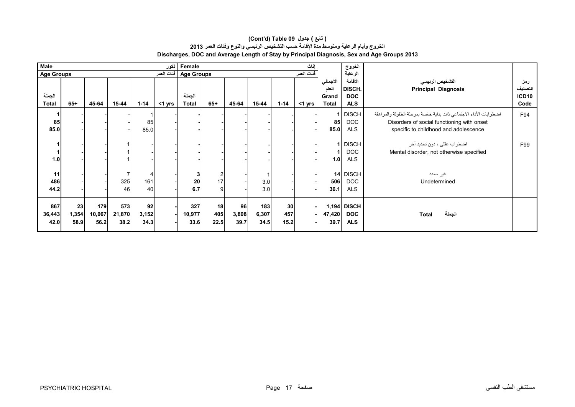| نكور<br>إناث<br><b>Male</b><br>Female |                                                                    |        |        |          |           |              |                |       |         |                 | الخروج    |              |              |                                                                   |                   |
|---------------------------------------|--------------------------------------------------------------------|--------|--------|----------|-----------|--------------|----------------|-------|---------|-----------------|-----------|--------------|--------------|-------------------------------------------------------------------|-------------------|
|                                       | فنات العمر<br>فئات العمر<br><b>Age Groups</b><br><b>Age Groups</b> |        |        |          |           |              |                |       | الرعاية |                 |           |              |              |                                                                   |                   |
|                                       |                                                                    |        |        |          |           |              |                |       |         |                 |           | الأجمالي     | الأقامة      | التشخيص الرئيسى                                                   | رمز               |
|                                       |                                                                    |        |        |          |           |              |                |       |         |                 |           | العام        | DISCH.       | <b>Principal Diagnosis</b>                                        | التصنيف           |
| الجملة                                |                                                                    |        |        |          |           | الجملة       |                |       |         |                 |           | Grand        | <b>DOC</b>   |                                                                   | ICD <sub>10</sub> |
| <b>Total</b>                          | $65+$                                                              | 45-64  | 15-44  | $1 - 14$ | $<$ 1 yrs | <b>Total</b> | $65+$          | 45-64 | 15-44   | $1 - 14$        | $<$ 1 yrs | <b>Total</b> | <b>ALS</b>   |                                                                   | Code              |
|                                       |                                                                    |        |        |          |           |              |                |       |         |                 |           |              | <b>DISCH</b> | اضطرابات الأداء الاجتماعي ذات بداية خاصة بمرحلة الطفولة والمراهقة | F94               |
| 85                                    |                                                                    |        |        | 85       |           |              |                |       |         |                 |           | 85           | <b>DOC</b>   | Disorders of social functioning with onset                        |                   |
| 85.0                                  |                                                                    |        |        | 85.0     |           |              |                |       |         |                 |           | 85.0         | <b>ALS</b>   | specific to childhood and adolescence                             |                   |
|                                       |                                                                    |        |        |          |           |              |                |       |         |                 |           |              |              |                                                                   |                   |
|                                       |                                                                    |        |        |          |           |              |                |       |         |                 |           |              | <b>DISCH</b> | اضطراب عقلي ، دون تحديد أخر                                       | F99               |
|                                       |                                                                    |        |        |          |           |              |                |       |         |                 |           |              | <b>DOC</b>   | Mental disorder, not otherwise specified                          |                   |
| 1.0                                   |                                                                    |        |        |          |           |              |                |       |         |                 |           | 1.0          | <b>ALS</b>   |                                                                   |                   |
|                                       |                                                                    |        |        |          |           |              |                |       |         |                 |           |              |              |                                                                   |                   |
| 11                                    |                                                                    |        |        |          |           | 3            | $\overline{2}$ |       |         |                 |           |              | 14 DISCH     | غير محدد                                                          |                   |
| 486                                   |                                                                    |        | 325    | 161      |           | ${\bf 20}$   | 17             |       | 3.0     |                 |           | 506          | <b>DOC</b>   | Undetermined                                                      |                   |
| 44.2                                  |                                                                    |        | 46     | 40       |           | 6.7          | 9              |       | 3.0     |                 |           | 36.1         | <b>ALS</b>   |                                                                   |                   |
|                                       |                                                                    |        |        |          |           |              |                |       |         |                 |           |              |              |                                                                   |                   |
| 867                                   | 23                                                                 | 179    | 573    | 92       |           | 327          | 18             | 96    | 183     | 30 <sub>1</sub> |           |              | 1,194 DISCH  |                                                                   |                   |
| 36,443                                | 1,354                                                              | 10,067 | 21,870 | 3,152    |           | 10,977       | 405            | 3,808 | 6,307   | 457             |           | 47,420       | <b>DOC</b>   | الجملة<br>Total                                                   |                   |
| 42.0                                  | 58.9                                                               | 56.2   | 38.2   | 34.3     |           | 33.6         | 22.5           | 39.7  | 34.5    | 15.2            |           | 39.7         | <b>ALS</b>   |                                                                   |                   |
|                                       |                                                                    |        |        |          |           |              |                |       |         |                 |           |              |              |                                                                   |                   |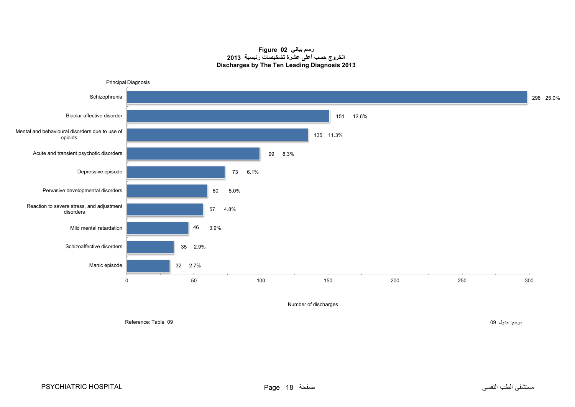**رسم بياني 02 Figure الخروج حسب أعلى عشرة تشخيصات رئيسية <sup>2013</sup> Discharges by The Ten Leading Diagnosis 2013**

<span id="page-16-0"></span>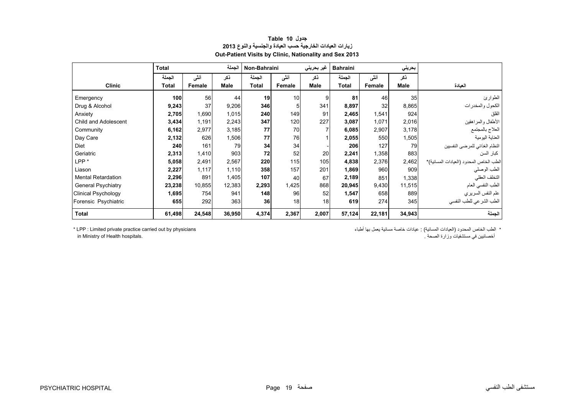<span id="page-17-0"></span>

|                            | <b>Total</b> |        | الجملة      | Non-Bahraini |        | غیر بحرینی  | <b>Bahraini</b> |        | بحريني      |                                         |
|----------------------------|--------------|--------|-------------|--------------|--------|-------------|-----------------|--------|-------------|-----------------------------------------|
|                            | الجملة       | أنشى   | ذكر         | الجملة       | أنشى   | ذكر         | الجملة          | أنشى   | نكر         |                                         |
| <b>Clinic</b>              | Total        | Female | <b>Male</b> | <b>Total</b> | Female | <b>Male</b> | <b>Total</b>    | Female | <b>Male</b> | العيادة                                 |
| Emergency                  | 100          | 56     | 44          | 19           | 10     | 9           | 81              | 46     | 35          | الطوارئ                                 |
| Drug & Alcohol             | 9,243        | 37     | 9,206       | 346          | 5      | 341         | 8,897           | 32     | 8,865       | الكحول والمخدرات                        |
| Anxiety                    | 2,705        | 1,690  | 1,015       | 240          | 149    | 91          | 2,465           | 1,541  | 924         | القلق                                   |
| Child and Adolescent       | 3,434        | 1,191  | 2,243       | 347          | 120    | 227         | 3,087           | 1,071  | 2,016       | الأطفال والمراهقين                      |
| Community                  | 6,162        | 2,977  | 3,185       | 77           | 70     |             | 6,085           | 2,907  | 3,178       | العلاج بالمجتمع                         |
| Day Care                   | 2,132        | 626    | 1,506       | 77           | 76     |             | 2,055           | 550    | 1,505       | العناية اليومية                         |
| <b>Diet</b>                | 240          | 161    | 79          | 34           | 34     |             | 206             | 127    | 79          | النظام الغذائي للمرضى النفسيين          |
| Geriatric                  | 2,313        | 1,410  | 903         | 72           | 52     | 20          | 2,241           | 1,358  | 883         | كبار السن                               |
| LPP <sup>*</sup>           | 5,058        | 2,491  | 2,567       | 220          | 115    | 105         | 4,838           | 2,376  | 2,462       | الطب الخاص المحدود (العيادات المسائية)* |
| Liason                     | 2,227        | 1,117  | 1,110       | 358          | 157    | 201         | 1,869           | 960    | 909         | الطب الوصلي                             |
| <b>Mental Retardation</b>  | 2,296        | 891    | 1,405       | 107          | 40     | 67          | 2,189           | 851    | 1,338       | التخلف العقلي                           |
| <b>General Psychiatry</b>  | 23,238       | 10,855 | 12,383      | 2,293        | 1,425  | 868         | 20,945          | 9,430  | 11,515      | الطب النفسي العام                       |
| <b>Clinical Psychology</b> | 1,695        | 754    | 941         | 148          | 96     | 52          | 1,547           | 658    | 889         | علم النفس السريري                       |
| Forensic Psychiatric       | 655          | 292    | 363         | 36           | 18     | 18          | 619             | 274    | 345         | الطب الشرعى للطب النفسي                 |
| <b>Total</b>               | 61,498       | 24,548 | 36,950      | 4,374        | 2,367  | 2,007       | 57,124          | 22,181 | 34,943      | الجملة                                  |

### **جدول 10 Table زيارات العيادات الخارجية حسب العيادة والجنسية والنوع <sup>2013</sup> Out-Patient Visits by Clinic, Nationality and Sex 2013**

\* الطب الخاص المحدود (العيادات المسائية) : عيادات خاصة مسائية يعمل بھا أطباء physicians by out carried practice private Limited : LPP\* أخصائيين في مستشفيات وزارة الصحة . .hospitals Health of Ministry in